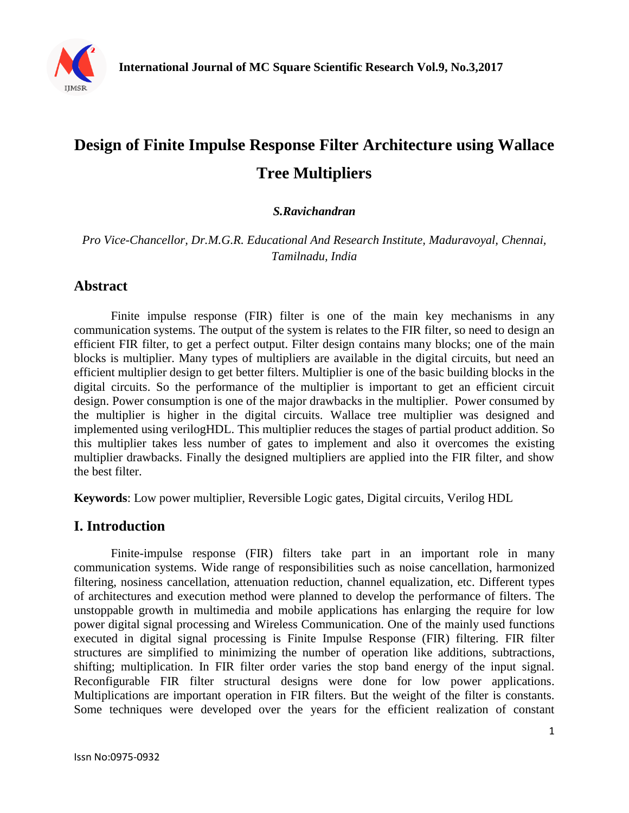

# **Design of Finite Impulse Response Filter Architecture using Wallace Tree Multipliers**

#### *S.Ravichandran*

*Pro Vice-Chancellor, Dr.M.G.R. Educational And Research Institute, Maduravoyal, Chennai, Tamilnadu, India*

#### **Abstract**

Finite impulse response (FIR) filter is one of the main key mechanisms in any communication systems. The output of the system is relates to the FIR filter, so need to design an efficient FIR filter, to get a perfect output. Filter design contains many blocks; one of the main blocks is multiplier. Many types of multipliers are available in the digital circuits, but need an efficient multiplier design to get better filters. Multiplier is one of the basic building blocks in the digital circuits. So the performance of the multiplier is important to get an efficient circuit design. Power consumption is one of the major drawbacks in the multiplier. Power consumed by the multiplier is higher in the digital circuits. Wallace tree multiplier was designed and implemented using verilogHDL. This multiplier reduces the stages of partial product addition. So this multiplier takes less number of gates to implement and also it overcomes the existing multiplier drawbacks. Finally the designed multipliers are applied into the FIR filter, and show the best filter.

**Keywords**: Low power multiplier, Reversible Logic gates, Digital circuits, Verilog HDL

#### **I. Introduction**

Finite-impulse response (FIR) filters take part in an important role in many communication systems. Wide range of responsibilities such as noise cancellation, harmonized filtering, nosiness cancellation, attenuation reduction, channel equalization, etc. Different types of architectures and execution method were planned to develop the performance of filters. The unstoppable growth in multimedia and mobile applications has enlarging the require for low power digital signal processing and Wireless Communication. One of the mainly used functions executed in digital signal processing is Finite Impulse Response (FIR) filtering. FIR filter structures are simplified to minimizing the number of operation like additions, subtractions, shifting; multiplication. In FIR filter order varies the stop band energy of the input signal. Reconfigurable FIR filter structural designs were done for low power applications. Multiplications are important operation in FIR filters. But the weight of the filter is constants. Some techniques were developed over the years for the efficient realization of constant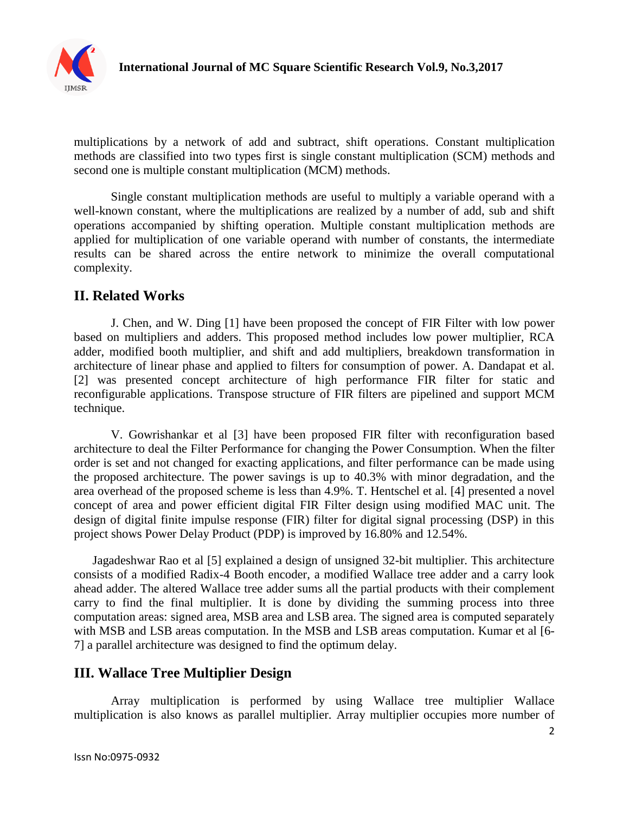

multiplications by a network of add and subtract, shift operations. Constant multiplication methods are classified into two types first is single constant multiplication (SCM) methods and second one is multiple constant multiplication (MCM) methods.

Single constant multiplication methods are useful to multiply a variable operand with a well-known constant, where the multiplications are realized by a number of add, sub and shift operations accompanied by shifting operation. Multiple constant multiplication methods are applied for multiplication of one variable operand with number of constants, the intermediate results can be shared across the entire network to minimize the overall computational complexity.

## **II. Related Works**

J. Chen, and W. Ding [1] have been proposed the concept of FIR Filter with low power based on multipliers and adders. This proposed method includes low power multiplier, RCA adder, modified booth multiplier, and shift and add multipliers, breakdown transformation in architecture of linear phase and applied to filters for consumption of power. A. Dandapat et al. [2] was presented concept architecture of high performance FIR filter for static and reconfigurable applications. Transpose structure of FIR filters are pipelined and support MCM technique.

V. Gowrishankar et al [3] have been proposed FIR filter with reconfiguration based architecture to deal the Filter Performance for changing the Power Consumption. When the filter order is set and not changed for exacting applications, and filter performance can be made using the proposed architecture. The power savings is up to 40.3% with minor degradation, and the area overhead of the proposed scheme is less than 4.9%. T. Hentschel et al. [4] presented a novel concept of area and power efficient digital FIR Filter design using modified MAC unit. The design of digital finite impulse response (FIR) filter for digital signal processing (DSP) in this project shows Power Delay Product (PDP) is improved by 16.80% and 12.54%.

Jagadeshwar Rao et al [5] explained a design of unsigned 32-bit multiplier. This architecture consists of a modified Radix-4 Booth encoder, a modified Wallace tree adder and a carry look ahead adder. The altered Wallace tree adder sums all the partial products with their complement carry to find the final multiplier. It is done by dividing the summing process into three computation areas: signed area, MSB area and LSB area. The signed area is computed separately with MSB and LSB areas computation. In the MSB and LSB areas computation. Kumar et al [6- 7] a parallel architecture was designed to find the optimum delay.

# **III. Wallace Tree Multiplier Design**

Array multiplication is performed by using Wallace tree multiplier Wallace multiplication is also knows as parallel multiplier. Array multiplier occupies more number of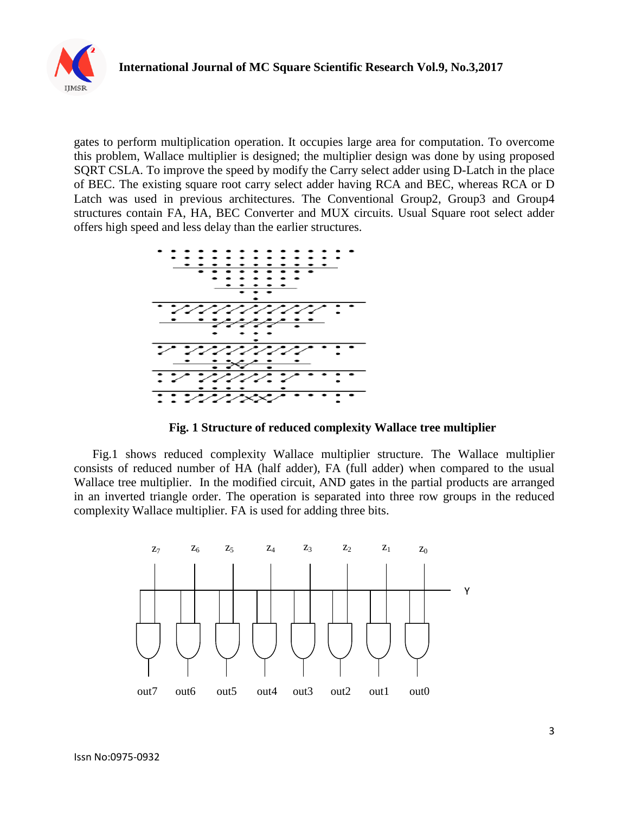

gates to perform multiplication operation. It occupies large area for computation. To overcome this problem, Wallace multiplier is designed; the multiplier design was done by using proposed SQRT CSLA. To improve the speed by modify the Carry select adder using D-Latch in the place of BEC. The existing square root carry select adder having RCA and BEC, whereas RCA or D Latch was used in previous architectures. The Conventional Group2, Group3 and Group4 structures contain FA, HA, BEC Converter and MUX circuits. Usual Square root select adder offers high speed and less delay than the earlier structures.



**Fig. 1 Structure of reduced complexity Wallace tree multiplier**

Fig.1 shows reduced complexity Wallace multiplier structure. The Wallace multiplier consists of reduced number of HA (half adder), FA (full adder) when compared to the usual Wallace tree multiplier. In the modified circuit, AND gates in the partial products are arranged in an inverted triangle order. The operation is separated into three row groups in the reduced complexity Wallace multiplier. FA is used for adding three bits.

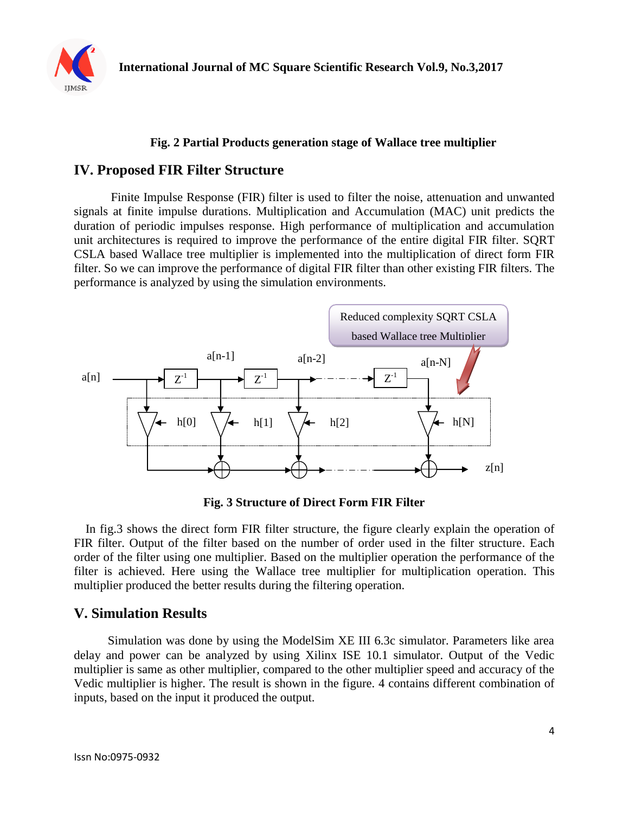

#### **Fig. 2 Partial Products generation stage of Wallace tree multiplier**

#### **IV. Proposed FIR Filter Structure**

Finite Impulse Response (FIR) filter is used to filter the noise, attenuation and unwanted signals at finite impulse durations. Multiplication and Accumulation (MAC) unit predicts the duration of periodic impulses response. High performance of multiplication and accumulation unit architectures is required to improve the performance of the entire digital FIR filter. SQRT CSLA based Wallace tree multiplier is implemented into the multiplication of direct form FIR filter. So we can improve the performance of digital FIR filter than other existing FIR filters. The performance is analyzed by using the simulation environments.



**Fig. 3 Structure of Direct Form FIR Filter**

In fig.3 shows the direct form FIR filter structure, the figure clearly explain the operation of FIR filter. Output of the filter based on the number of order used in the filter structure. Each order of the filter using one multiplier. Based on the multiplier operation the performance of the filter is achieved. Here using the Wallace tree multiplier for multiplication operation. This multiplier produced the better results during the filtering operation.

#### **V. Simulation Results**

 Simulation was done by using the ModelSim XE III 6.3c simulator. Parameters like area delay and power can be analyzed by using Xilinx ISE 10.1 simulator. Output of the Vedic multiplier is same as other multiplier, compared to the other multiplier speed and accuracy of the Vedic multiplier is higher. The result is shown in the figure. 4 contains different combination of inputs, based on the input it produced the output.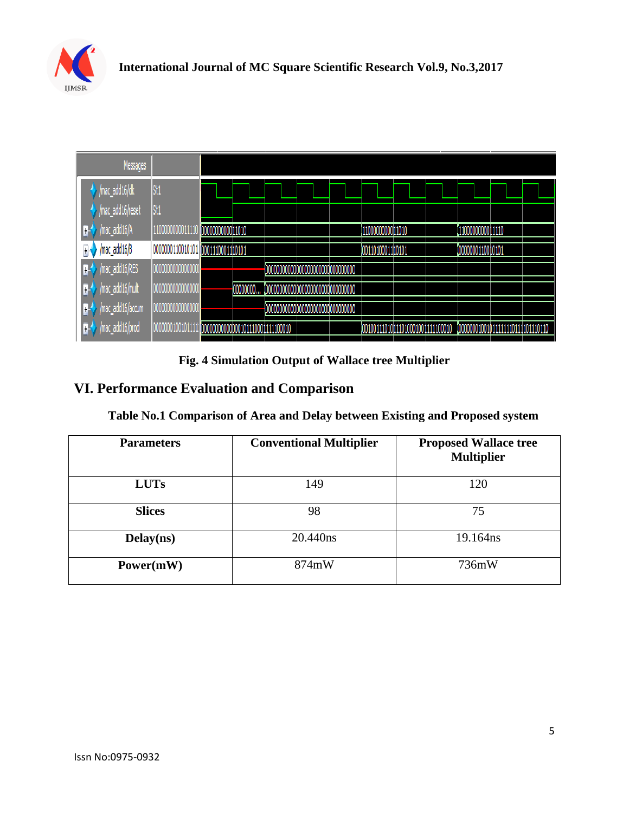

| Messages                       |                  |                                  |          |  |                           |                                    |                                  |  |
|--------------------------------|------------------|----------------------------------|----------|--|---------------------------|------------------------------------|----------------------------------|--|
| $\rightarrow$ /mac_add16/clk   | <b>St1</b>       |                                  |          |  |                           |                                    |                                  |  |
| /mac_add16/reset               | St1              |                                  |          |  |                           |                                    |                                  |  |
| $\rightarrow$ /mac_add16/A     | 1100000000011110 | 0000000000011010                 |          |  | <u> 11000000000 11010</u> |                                    | <u> 11000000000 1110</u>         |  |
| $\rightarrow$ /mac_add16/B     | 0000000110010101 | 0001110001110101                 |          |  | 0011010001110101          |                                    | 0000000110010101                 |  |
| $\blacksquare$ /mac_add16/RES  | 0000000000000000 |                                  |          |  |                           |                                    |                                  |  |
| $\blacksquare$ /mac_add16/mult | 0000000000000000 |                                  | 00000000 |  |                           |                                    |                                  |  |
| <b>T-</b> / mac_add16/accum    | 0000000000000000 |                                  |          |  |                           |                                    |                                  |  |
| <b>IF-</b> / mac_add16/prod    | 00000001001011   | 00000000000000101110001111100010 |          |  |                           | 00100111010 1110100010011111100010 | 00000001001011111110111101110110 |  |

**Fig. 4 Simulation Output of Wallace tree Multiplier**

# **VI. Performance Evaluation and Comparison**

**Table No.1 Comparison of Area and Delay between Existing and Proposed system**

| <b>Parameters</b> | <b>Conventional Multiplier</b> | <b>Proposed Wallace tree</b><br><b>Multiplier</b> |  |  |  |
|-------------------|--------------------------------|---------------------------------------------------|--|--|--|
| <b>LUTs</b>       | 149                            | 120                                               |  |  |  |
| <b>Slices</b>     | 98                             | 75                                                |  |  |  |
| Delay(ns)         | 20.440ns                       | 19.164ns                                          |  |  |  |
| Power(mW)         | 874mW                          | 736mW                                             |  |  |  |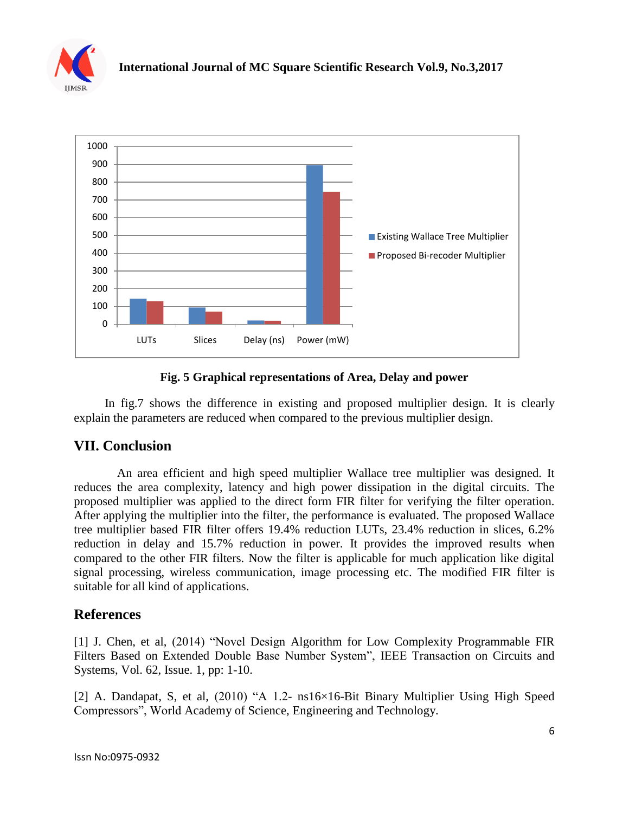



#### **Fig. 5 Graphical representations of Area, Delay and power**

 In fig.7 shows the difference in existing and proposed multiplier design. It is clearly explain the parameters are reduced when compared to the previous multiplier design.

## **VII. Conclusion**

 An area efficient and high speed multiplier Wallace tree multiplier was designed. It reduces the area complexity, latency and high power dissipation in the digital circuits. The proposed multiplier was applied to the direct form FIR filter for verifying the filter operation. After applying the multiplier into the filter, the performance is evaluated. The proposed Wallace tree multiplier based FIR filter offers 19.4% reduction LUTs, 23.4% reduction in slices, 6.2% reduction in delay and 15.7% reduction in power. It provides the improved results when compared to the other FIR filters. Now the filter is applicable for much application like digital signal processing, wireless communication, image processing etc. The modified FIR filter is suitable for all kind of applications.

## **References**

[1] J. Chen, et al, (2014) "Novel Design Algorithm for Low Complexity Programmable FIR Filters Based on Extended Double Base Number System", IEEE Transaction on Circuits and Systems, Vol. 62, Issue. 1, pp: 1-10.

[2] A. Dandapat, S, et al, (2010) "A 1.2- ns16×16-Bit Binary Multiplier Using High Speed Compressors", World Academy of Science, Engineering and Technology.